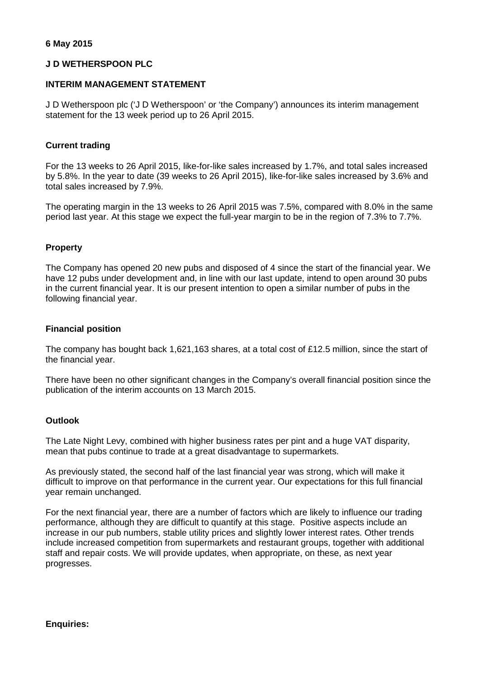## **6 May 2015**

## **J D WETHERSPOON PLC**

# **INTERIM MANAGEMENT STATEMENT**

J D Wetherspoon plc ('J D Wetherspoon' or 'the Company') announces its interim management statement for the 13 week period up to 26 April 2015.

## **Current trading**

For the 13 weeks to 26 April 2015, like-for-like sales increased by 1.7%, and total sales increased by 5.8%. In the year to date (39 weeks to 26 April 2015), like-for-like sales increased by 3.6% and total sales increased by 7.9%.

The operating margin in the 13 weeks to 26 April 2015 was 7.5%, compared with 8.0% in the same period last year. At this stage we expect the full-year margin to be in the region of 7.3% to 7.7%.

## **Property**

The Company has opened 20 new pubs and disposed of 4 since the start of the financial year. We have 12 pubs under development and, in line with our last update, intend to open around 30 pubs in the current financial year. It is our present intention to open a similar number of pubs in the following financial year.

## **Financial position**

The company has bought back 1,621,163 shares, at a total cost of £12.5 million, since the start of the financial year.

There have been no other significant changes in the Company's overall financial position since the publication of the interim accounts on 13 March 2015.

#### **Outlook**

The Late Night Levy, combined with higher business rates per pint and a huge VAT disparity, mean that pubs continue to trade at a great disadvantage to supermarkets.

As previously stated, the second half of the last financial year was strong, which will make it difficult to improve on that performance in the current year. Our expectations for this full financial year remain unchanged.

For the next financial year, there are a number of factors which are likely to influence our trading performance, although they are difficult to quantify at this stage. Positive aspects include an increase in our pub numbers, stable utility prices and slightly lower interest rates. Other trends include increased competition from supermarkets and restaurant groups, together with additional staff and repair costs. We will provide updates, when appropriate, on these, as next year progresses.

#### **Enquiries:**